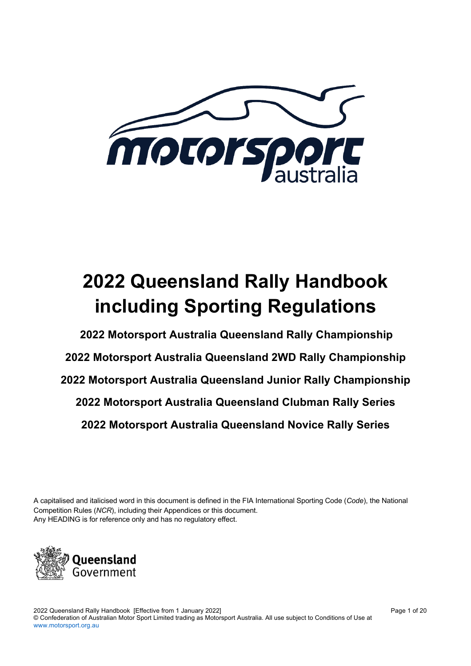

# **2022 Queensland Rally Handbook including Sporting Regulations**

 **Motorsport Australia Queensland Rally Championship Motorsport Australia Queensland 2WD Rally Championship Motorsport Australia Queensland Junior Rally Championship Motorsport Australia Queensland Clubman Rally Series Motorsport Australia Queensland Novice Rally Series**

A capitalised and italicised word in this document is defined in the FIA International Sporting Code (*Code*), the National Competition Rules (*NCR*), including their Appendices or this document. Any HEADING is for reference only and has no regulatory effect.

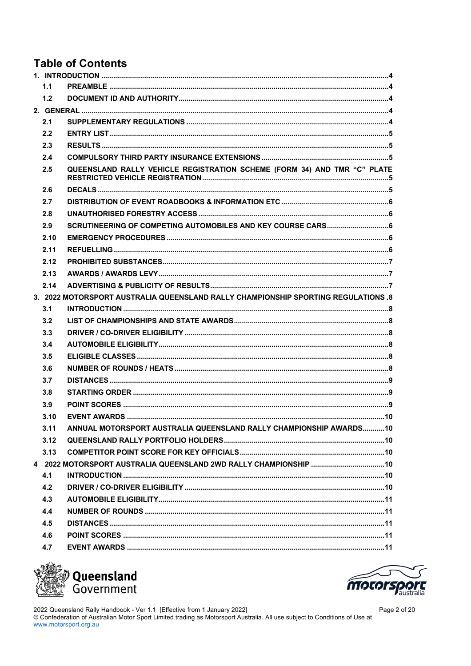# **Table of Contents**

| 1.1  |                                                                                    |  |
|------|------------------------------------------------------------------------------------|--|
| 1.2  |                                                                                    |  |
|      |                                                                                    |  |
| 2.1  |                                                                                    |  |
| 2.2  |                                                                                    |  |
| 2.3  |                                                                                    |  |
| 2.4  |                                                                                    |  |
| 2.5  | QUEENSLAND RALLY VEHICLE REGISTRATION SCHEME (FORM 34) AND TMR "C" PLATE           |  |
| 2.6  |                                                                                    |  |
| 2.7  |                                                                                    |  |
| 2.8  |                                                                                    |  |
| 2.9  | SCRUTINEERING OF COMPETING AUTOMOBILES AND KEY COURSE CARS6                        |  |
| 2.10 |                                                                                    |  |
| 2.11 |                                                                                    |  |
| 2.12 |                                                                                    |  |
| 2.13 |                                                                                    |  |
| 2.14 |                                                                                    |  |
|      | 3. 2022 MOTORSPORT AUSTRALIA QUEENSLAND RALLY CHAMPIONSHIP SPORTING REGULATIONS .8 |  |
| 3.1  |                                                                                    |  |
| 3.2  |                                                                                    |  |
| 3.3  |                                                                                    |  |
| 3.4  |                                                                                    |  |
| 3.5  |                                                                                    |  |
| 3.6  |                                                                                    |  |
| 3.7  |                                                                                    |  |
| 3.8  |                                                                                    |  |
| 3.9  |                                                                                    |  |
| 3.10 |                                                                                    |  |
| 3.11 | ANNUAL MOTORSPORT AUSTRALIA QUEENSLAND RALLY CHAMPIONSHIP AWARDS10                 |  |
| 3.12 |                                                                                    |  |
| 3.13 |                                                                                    |  |
|      |                                                                                    |  |
| 4.1  |                                                                                    |  |
| 4.2  |                                                                                    |  |
|      |                                                                                    |  |
| 4.3  |                                                                                    |  |
| 4.4  |                                                                                    |  |
| 4.5  |                                                                                    |  |
| 4.6  |                                                                                    |  |





2022 Queensland Rally Handbook - Ver 1.1 [Effective from 1 January 2022] © Confederation of Australian Motor Sport Limited trading as Motorsport Australia. All use subject to Conditions of Use at www.motorsport.org.au

Page 2 of 20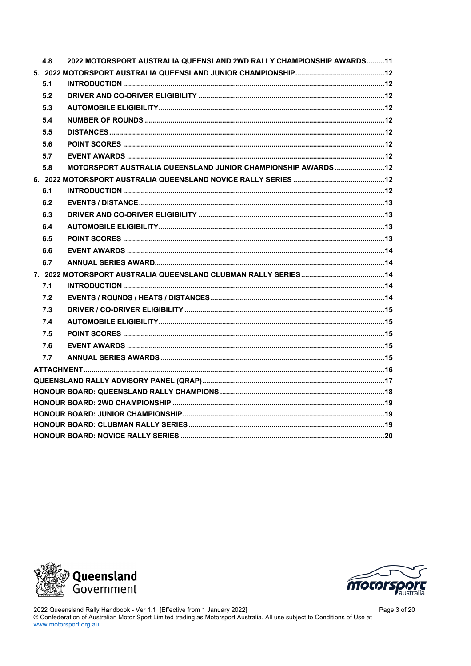| 4.8 | 2022 MOTORSPORT AUSTRALIA QUEENSLAND 2WD RALLY CHAMPIONSHIP AWARDS11 |  |  |  |  |  |  |
|-----|----------------------------------------------------------------------|--|--|--|--|--|--|
|     |                                                                      |  |  |  |  |  |  |
| 5.1 |                                                                      |  |  |  |  |  |  |
| 5.2 |                                                                      |  |  |  |  |  |  |
| 5.3 |                                                                      |  |  |  |  |  |  |
| 5.4 |                                                                      |  |  |  |  |  |  |
| 5.5 |                                                                      |  |  |  |  |  |  |
| 5.6 |                                                                      |  |  |  |  |  |  |
| 5.7 |                                                                      |  |  |  |  |  |  |
| 5.8 | MOTORSPORT AUSTRALIA QUEENSLAND JUNIOR CHAMPIONSHIP AWARDS  12       |  |  |  |  |  |  |
|     |                                                                      |  |  |  |  |  |  |
| 6.1 |                                                                      |  |  |  |  |  |  |
| 6.2 |                                                                      |  |  |  |  |  |  |
| 6.3 |                                                                      |  |  |  |  |  |  |
| 6.4 |                                                                      |  |  |  |  |  |  |
| 6.5 |                                                                      |  |  |  |  |  |  |
| 6.6 |                                                                      |  |  |  |  |  |  |
| 6.7 |                                                                      |  |  |  |  |  |  |
|     |                                                                      |  |  |  |  |  |  |
| 7.1 |                                                                      |  |  |  |  |  |  |
| 7.2 |                                                                      |  |  |  |  |  |  |
| 7.3 |                                                                      |  |  |  |  |  |  |
| 7.4 |                                                                      |  |  |  |  |  |  |
| 7.5 |                                                                      |  |  |  |  |  |  |
| 7.6 |                                                                      |  |  |  |  |  |  |
| 7.7 |                                                                      |  |  |  |  |  |  |
|     |                                                                      |  |  |  |  |  |  |
|     |                                                                      |  |  |  |  |  |  |
|     |                                                                      |  |  |  |  |  |  |
|     |                                                                      |  |  |  |  |  |  |
|     |                                                                      |  |  |  |  |  |  |
|     |                                                                      |  |  |  |  |  |  |
|     |                                                                      |  |  |  |  |  |  |





2022 Queensland Rally Handbook - Ver 1.1 [Effective from 1 January 2022] © Confederation of Australian Motor Sport Limited trading as Motorsport Australia. All use subject to Conditions of Use at www.motorsport.org.au

Page 3 of 20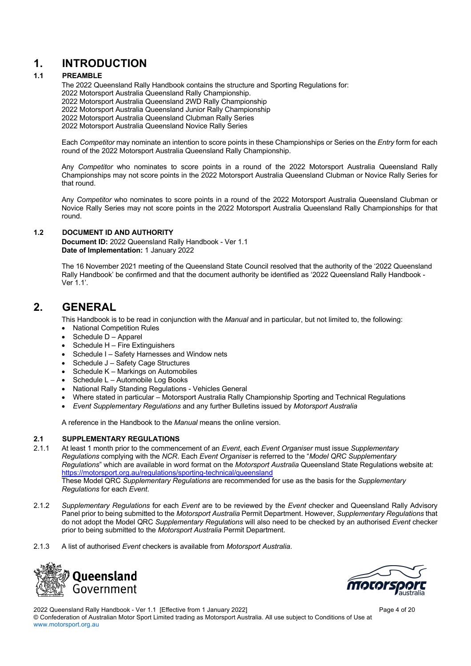### **1. INTRODUCTION**

#### **1.1 PREAMBLE**

The 2022 Queensland Rally Handbook contains the structure and Sporting Regulations for: Motorsport Australia Queensland Rally Championship. Motorsport Australia Queensland 2WD Rally Championship Motorsport Australia Queensland Junior Rally Championship Motorsport Australia Queensland Clubman Rally Series Motorsport Australia Queensland Novice Rally Series

Each *Competitor* may nominate an intention to score points in these Championships or Series on the *Entry* form for each round of the 2022 Motorsport Australia Queensland Rally Championship.

Any *Competitor* who nominates to score points in a round of the 2022 Motorsport Australia Queensland Rally Championships may not score points in the 2022 Motorsport Australia Queensland Clubman or Novice Rally Series for that round.

Any *Competitor* who nominates to score points in a round of the 2022 Motorsport Australia Queensland Clubman or Novice Rally Series may not score points in the 2022 Motorsport Australia Queensland Rally Championships for that round.

#### **1.2 DOCUMENT ID AND AUTHORITY**

**Document ID:** 2022 Queensland Rally Handbook - Ver 1.1 **Date of Implementation:** 1 January 2022

The 16 November 2021 meeting of the Queensland State Council resolved that the authority of the '2022 Queensland Rally Handbook' be confirmed and that the document authority be identified as '2022 Queensland Rally Handbook - Ver 1.1'.

### **2. GENERAL**

This Handbook is to be read in conjunction with the *Manual* and in particular, but not limited to, the following:

- National Competition Rules
- Schedule D Apparel
- $\bullet$  Schedule H Fire Extinguishers
- Schedule I Safety Harnesses and Window nets
- Schedule J Safety Cage Structures
- Schedule K Markings on Automobiles
- Schedule L Automobile Log Books
- National Rally Standing Regulations Vehicles General
- Where stated in particular Motorsport Australia Rally Championship Sporting and Technical Regulations
- *Event Supplementary Regulations* and any further Bulletins issued by *Motorsport Australia*

A reference in the Handbook to the *Manual* means the online version.

#### **2.1 SUPPLEMENTARY REGULATIONS**

2.1.1 At least 1 month prior to the commencement of an *Event*, each *Event Organiser* must issue *Supplementary Regulations* complying with the *NCR*. Each *Event Organiser* is referred to the "*Model QRC Supplementary Regulations*" which are available in word format on the *Motorsport Australia* Queensland State Regulations website at: https://motorsport.org.au/regulations/sporting-technical/queensland These Model QRC *Supplementary Regulations* are recommended for use as the basis for the *Supplementary Regulations* for each *Event*.

- 2.1.2 *Supplementary Regulations* for each *Event* are to be reviewed by the *Event* checker and Queensland Rally Advisory Panel prior to being submitted to the *Motorsport Australia* Permit Department. However, *Supplementary Regulations* that do not adopt the Model QRC *Supplementary Regulations* will also need to be checked by an authorised *Event* checker prior to being submitted to the *Motorsport Australia* Permit Department.
- 2.1.3 A list of authorised *Event* checkers is available from *Motorsport Australia*.





2022 Queensland Rally Handbook - Ver 1.1 [Effective from 1 January 2022] Page 4 of 20 © Confederation of Australian Motor Sport Limited trading as Motorsport Australia. All use subject to Conditions of Use at www.motorsport.org.au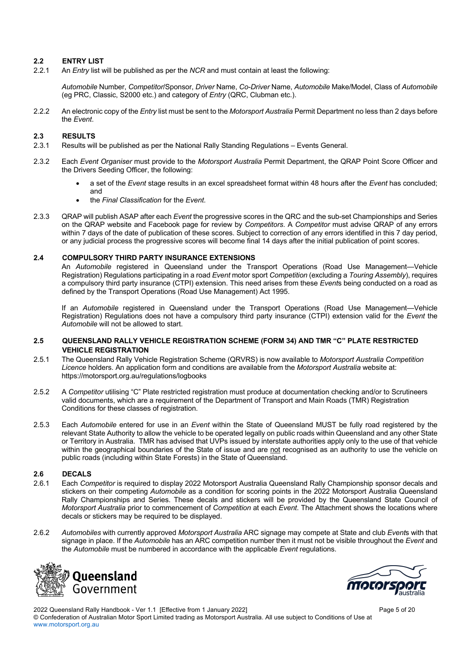#### **2.2 ENTRY LIST**

2.2.1 An *Entry* list will be published as per the *NCR* and must contain at least the following:

*Automobile* Number, *Competitor*/Sponsor, *Driver* Name, *Co-Driver* Name, *Automobile* Make/Model, Class of *Automobile* (eg PRC, Classic, S2000 etc.) and category of *Entry* (QRC, Clubman etc.).

2.2.2 An electronic copy of the *Entry* list must be sent to the *Motorsport Australia* Permit Department no less than 2 days before the *Event*.

#### **2.3 RESULTS**

- 2.3.1 Results will be published as per the National Rally Standing Regulations Events General.
- 2.3.2 Each *Event Organiser* must provide to the *Motorsport Australia* Permit Department, the QRAP Point Score Officer and the Drivers Seeding Officer, the following:
	- a set of the *Event* stage results in an excel spreadsheet format within 48 hours after the *Event* has concluded; and
	- the *Final Classification* for the *Event*.
- 2.3.3 QRAP will publish ASAP after each *Event* the progressive scores in the QRC and the sub-set Championships and Series on the QRAP website and Facebook page for review by *Competitors*. A *Competitor* must advise QRAP of any errors within 7 days of the date of publication of these scores. Subject to correction of any errors identified in this 7 day period, or any judicial process the progressive scores will become final 14 days after the initial publication of point scores.

#### **2.4 COMPULSORY THIRD PARTY INSURANCE EXTENSIONS**

An *Automobile* registered in Queensland under the Transport Operations (Road Use Management—Vehicle Registration) Regulations participating in a road *Event* motor sport *Competition* (excluding a *Touring Assembly*), requires a compulsory third party insurance (CTPI) extension. This need arises from these *Event*s being conducted on a road as defined by the Transport Operations (Road Use Management) Act 1995.

If an *Automobile* registered in Queensland under the Transport Operations (Road Use Management—Vehicle Registration) Regulations does not have a compulsory third party insurance (CTPI) extension valid for the *Event* the *Automobile* will not be allowed to start.

#### **2.5 QUEENSLAND RALLY VEHICLE REGISTRATION SCHEME (FORM 34) AND TMR "C" PLATE RESTRICTED VEHICLE REGISTRATION**

- 2.5.1 The Queensland Rally Vehicle Registration Scheme (QRVRS) is now available to *Motorsport Australia Competition Licence* holders. An application form and conditions are available from the *Motorsport Australia* website at: https://motorsport.org.au/regulations/logbooks
- 2.5.2 A *Competitor* utilising "C" Plate restricted registration must produce at documentation checking and/or to Scrutineers valid documents, which are a requirement of the Department of Transport and Main Roads (TMR) Registration Conditions for these classes of registration.
- 2.5.3 Each *Automobile* entered for use in an *Event* within the State of Queensland MUST be fully road registered by the relevant State Authority to allow the vehicle to be operated legally on public roads within Queensland and any other State or Territory in Australia. TMR has advised that UVPs issued by interstate authorities apply only to the use of that vehicle within the geographical boundaries of the State of issue and are not recognised as an authority to use the vehicle on public roads (including within State Forests) in the State of Queensland.

#### **2.6 DECALS**

- 2.6.1 Each *Competitor* is required to display 2022 Motorsport Australia Queensland Rally Championship sponsor decals and stickers on their competing *Automobile* as a condition for scoring points in the 2022 Motorsport Australia Queensland Rally Championships and Series. These decals and stickers will be provided by the Queensland State Council of *Motorsport Australia* prior to commencement of *Competition* at each *Event*. The Attachment shows the locations where decals or stickers may be required to be displayed.
- 2.6.2 *Automobiles* with currently approved *Motorsport Australia* ARC signage may compete at State and club *Event*s with that signage in place. If the *Automobile* has an ARC competition number then it must not be visible throughout the *Event* and the *Automobile* must be numbered in accordance with the applicable *Event* regulations.





2022 Queensland Rally Handbook - Ver 1.1 [Effective from 1 January 2022] Page 5 of 20 © Confederation of Australian Motor Sport Limited trading as Motorsport Australia. All use subject to Conditions of Use at www.motorsport.org.au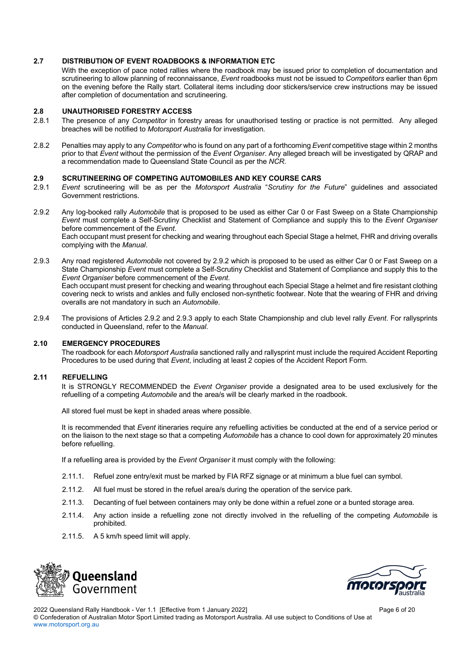#### **2.7 DISTRIBUTION OF EVENT ROADBOOKS & INFORMATION ETC**

With the exception of pace noted rallies where the roadbook may be issued prior to completion of documentation and scrutineering to allow planning of reconnaissance, *Event* roadbooks must not be issued to *Competitors* earlier than 6pm on the evening before the Rally start. Collateral items including door stickers/service crew instructions may be issued after completion of documentation and scrutineering.

#### **2.8 UNAUTHORISED FORESTRY ACCESS**

- 2.8.1 The presence of any *Competitor* in forestry areas for unauthorised testing or practice is not permitted. Any alleged breaches will be notified to *Motorsport Australia* for investigation.
- 2.8.2 Penalties may apply to any *Competitor* who is found on any part of a forthcoming *Event* competitive stage within 2 months prior to that *Event* without the permission of the *Event Organiser*. Any alleged breach will be investigated by QRAP and a recommendation made to Queensland State Council as per the *NCR*.

#### **2.9 SCRUTINEERING OF COMPETING AUTOMOBILES AND KEY COURSE CARS**

- 2.9.1 *Event* scrutineering will be as per the *Motorsport Australia* "*Scrutiny for the Future*" guidelines and associated Government restrictions.
- 2.9.2 Any log-booked rally *Automobile* that is proposed to be used as either Car 0 or Fast Sweep on a State Championship *Event* must complete a Self-Scrutiny Checklist and Statement of Compliance and supply this to the *Event Organiser* before commencement of the *Event*. Each occupant must present for checking and wearing throughout each Special Stage a helmet, FHR and driving overalls complying with the *Manual*.
- 2.9.3 Any road registered *Automobile* not covered by 2.9.2 which is proposed to be used as either Car 0 or Fast Sweep on a State Championship *Event* must complete a Self-Scrutiny Checklist and Statement of Compliance and supply this to the *Event Organiser* before commencement of the *Event*.

Each occupant must present for checking and wearing throughout each Special Stage a helmet and fire resistant clothing covering neck to wrists and ankles and fully enclosed non-synthetic footwear. Note that the wearing of FHR and driving overalls are not mandatory in such an *Automobile*.

2.9.4 The provisions of Articles 2.9.2 and 2.9.3 apply to each State Championship and club level rally *Event*. For rallysprints conducted in Queensland, refer to the *Manual*.

#### **2.10 EMERGENCY PROCEDURES**

The roadbook for each *Motorsport Australia* sanctioned rally and rallysprint must include the required Accident Reporting Procedures to be used during that *Event*, including at least 2 copies of the Accident Report Form.

#### **2.11 REFUELLING**

It is STRONGLY RECOMMENDED the *Event Organiser* provide a designated area to be used exclusively for the refuelling of a competing *Automobile* and the area/s will be clearly marked in the roadbook.

All stored fuel must be kept in shaded areas where possible.

It is recommended that *Event* itineraries require any refuelling activities be conducted at the end of a service period or on the liaison to the next stage so that a competing *Automobile* has a chance to cool down for approximately 20 minutes before refuelling.

If a refuelling area is provided by the *Event Organiser* it must comply with the following:

- 2.11.1. Refuel zone entry/exit must be marked by FIA RFZ signage or at minimum a blue fuel can symbol.
- 2.11.2. All fuel must be stored in the refuel area/s during the operation of the service park.
- 2.11.3. Decanting of fuel between containers may only be done within a refuel zone or a bunted storage area.
- 2.11.4. Any action inside a refuelling zone not directly involved in the refuelling of the competing *Automobile* is prohibited.
- 2.11.5. A 5 km/h speed limit will apply.





2022 Queensland Rally Handbook - Ver 1.1 [Effective from 1 January 2022] Page 6 of 20 © Confederation of Australian Motor Sport Limited trading as Motorsport Australia. All use subject to Conditions of Use at www.motorsport.org.au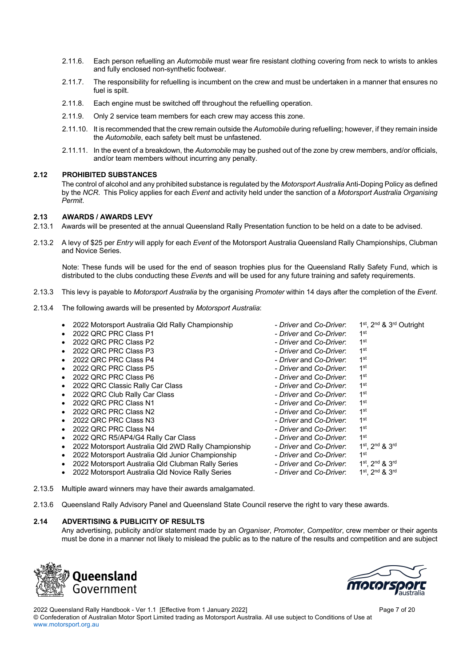- 2.11.6. Each person refuelling an *Automobile* must wear fire resistant clothing covering from neck to wrists to ankles and fully enclosed non-synthetic footwear.
- 2.11.7. The responsibility for refuelling is incumbent on the crew and must be undertaken in a manner that ensures no fuel is spilt.
- 2.11.8. Each engine must be switched off throughout the refuelling operation.
- 2.11.9. Only 2 service team members for each crew may access this zone.
- 2.11.10. It is recommended that the crew remain outside the *Automobile* during refuelling; however, if they remain inside the *Automobile*, each safety belt must be unfastened.
- 2.11.11. In the event of a breakdown, the *Automobile* may be pushed out of the zone by crew members, and/or officials, and/or team members without incurring any penalty.

#### **2.12 PROHIBITED SUBSTANCES**

The control of alcohol and any prohibited substance is regulated by the *Motorsport Australia* Anti-Doping Policy as defined by the *NCR*. This Policy applies for each *Event* and activity held under the sanction of a *Motorsport Australia Organising Permit*.

#### **2.13 AWARDS / AWARDS LEVY**

- 2.13.1 Awards will be presented at the annual Queensland Rally Presentation function to be held on a date to be advised.
- 2.13.2 A levy of \$25 per *Entry* will apply for each *Event* of the Motorsport Australia Queensland Rally Championships, Clubman and Novice Series.

Note: These funds will be used for the end of season trophies plus for the Queensland Rally Safety Fund, which is distributed to the clubs conducting these *Event*s and will be used for any future training and safety requirements.

- 2.13.3 This levy is payable to *Motorsport Australia* by the organising *Promoter* within 14 days after the completion of the *Event*.
- 2.13.4 The following awards will be presented by *Motorsport Australia*:

| 2022 Motorsport Australia Qld Rally Championship<br>$\bullet$     | - Driver and Co-Driver. | 1st, 2nd & 3rd Outright |
|-------------------------------------------------------------------|-------------------------|-------------------------|
|                                                                   |                         |                         |
| 2022 QRC PRC Class P1<br>$\bullet$                                | - Driver and Co-Driver: | 1 <sup>st</sup>         |
| 2022 QRC PRC Class P2<br>$\bullet$                                | - Driver and Co-Driver. | 1st                     |
| 2022 QRC PRC Class P3<br>$\bullet$                                | - Driver and Co-Driver: | 1 <sup>st</sup>         |
| 2022 QRC PRC Class P4<br>$\bullet$                                | - Driver and Co-Driver: | 1 <sup>st</sup>         |
| 2022 QRC PRC Class P5<br>$\bullet$                                | - Driver and Co-Driver: | 1 <sup>st</sup>         |
| 2022 QRC PRC Class P6<br>$\bullet$                                | - Driver and Co-Driver: | 1 <sup>st</sup>         |
| 2022 QRC Classic Rally Car Class<br>$\bullet$                     | - Driver and Co-Driver: | 1 <sup>st</sup>         |
| 2022 QRC Club Rally Car Class<br>$\bullet$                        | - Driver and Co-Driver: | 1 <sup>st</sup>         |
| 2022 QRC PRC Class N1<br>$\bullet$                                | - Driver and Co-Driver. | 1 <sup>st</sup>         |
| 2022 QRC PRC Class N2<br>$\bullet$                                | - Driver and Co-Driver: | 1 <sup>st</sup>         |
| 2022 QRC PRC Class N3<br>$\bullet$                                | - Driver and Co-Driver. | 1 <sup>st</sup>         |
| 2022 QRC PRC Class N4<br>$\bullet$                                | - Driver and Co-Driver: | 1 <sup>st</sup>         |
| 2022 QRC R5/AP4/G4 Rally Car Class<br>$\bullet$                   | - Driver and Co-Driver: | 1 <sup>st</sup>         |
| 2022 Motorsport Australia Qld 2WD Rally Championship<br>$\bullet$ | - Driver and Co-Driver. | 1st. 2nd & 3rd          |
| 2022 Motorsport Australia Qld Junior Championship<br>$\bullet$    | - Driver and Co-Driver. | 1 <sup>st</sup>         |
| 2022 Motorsport Australia Qld Clubman Rally Series<br>$\bullet$   | - Driver and Co-Driver. | 1st, 2nd & 3rd          |
| 2022 Motorsport Australia Qld Novice Rally Series<br>٠            | - Driver and Co-Driver. | 1st, 2nd & 3rd          |

- 2.13.5 Multiple award winners may have their awards amalgamated.
- 2.13.6 Queensland Rally Advisory Panel and Queensland State Council reserve the right to vary these awards.

#### **2.14 ADVERTISING & PUBLICITY OF RESULTS**

Any advertising, publicity and/or statement made by an *Organiser*, *Promoter*, *Competitor*, crew member or their agents must be done in a manner not likely to mislead the public as to the nature of the results and competition and are subject





2022 Queensland Rally Handbook - Ver 1.1 [Effective from 1 January 2022] Page 7 of 20

© Confederation of Australian Motor Sport Limited trading as Motorsport Australia. All use subject to Conditions of Use at www.motorsport.org.au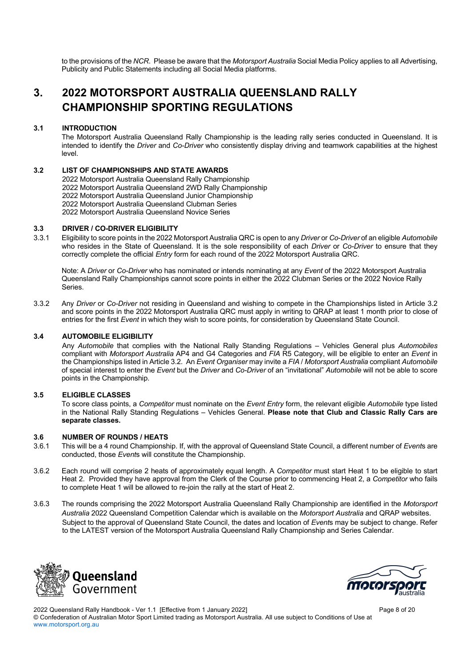to the provisions of the *NCR*. Please be aware that the *Motorsport Australia* Social Media Policy applies to all Advertising, Publicity and Public Statements including all Social Media platforms.

### **3. 2022 MOTORSPORT AUSTRALIA QUEENSLAND RALLY CHAMPIONSHIP SPORTING REGULATIONS**

#### **3.1 INTRODUCTION**

The Motorsport Australia Queensland Rally Championship is the leading rally series conducted in Queensland. It is intended to identify the *Driver* and *Co-Driver* who consistently display driving and teamwork capabilities at the highest level.

#### **3.2 LIST OF CHAMPIONSHIPS AND STATE AWARDS**

2022 Motorsport Australia Queensland Rally Championship

- 2022 Motorsport Australia Queensland 2WD Rally Championship
- 2022 Motorsport Australia Queensland Junior Championship
- 2022 Motorsport Australia Queensland Clubman Series
- 2022 Motorsport Australia Queensland Novice Series

#### **3.3 DRIVER / CO-DRIVER ELIGIBILITY**

3.3.1 Eligibility to score points in the 2022 Motorsport Australia QRC is open to any *Driver* or *Co-Driver* of an eligible *Automobile* who resides in the State of Queensland. It is the sole responsibility of each *Driver* or *Co-Driver* to ensure that they correctly complete the official *Entry* form for each round of the 2022 Motorsport Australia QRC.

Note: A *Driver* or *Co-Driver* who has nominated or intends nominating at any *Event* of the 2022 Motorsport Australia Queensland Rally Championships cannot score points in either the 2022 Clubman Series or the 2022 Novice Rally Series.

3.3.2 Any *Driver* or *Co-Driver* not residing in Queensland and wishing to compete in the Championships listed in Article 3.2 and score points in the 2022 Motorsport Australia QRC must apply in writing to QRAP at least 1 month prior to close of entries for the first *Event* in which they wish to score points, for consideration by Queensland State Council.

#### **3.4 AUTOMOBILE ELIGIBILITY**

Any *Automobile* that complies with the National Rally Standing Regulations – Vehicles General plus *Automobiles* compliant with *Motorsport Australia* AP4 and G4 Categories and *FIA* R5 Category, will be eligible to enter an *Event* in the Championships listed in Article 3.2. An *Event Organiser* may invite a *FIA* / *Motorsport Australia* compliant *Automobile* of special interest to enter the *Event* but the *Driver* and *Co-Driver* of an "invitational" *Automobile* will not be able to score points in the Championship.

#### **3.5 ELIGIBLE CLASSES**

To score class points, a *Competitor* must nominate on the *Event Entry* form, the relevant eligible *Automobile* type listed in the National Rally Standing Regulations – Vehicles General. **Please note that Club and Classic Rally Cars are separate classes.**

#### **3.6 NUMBER OF ROUNDS / HEATS**

- 3.6.1 This will be a 4 round Championship. If, with the approval of Queensland State Council, a different number of *Event*s are conducted, those *Event*s will constitute the Championship.
- 3.6.2 Each round will comprise 2 heats of approximately equal length. A *Competitor* must start Heat 1 to be eligible to start Heat 2. Provided they have approval from the Clerk of the Course prior to commencing Heat 2, a *Competitor* who fails to complete Heat 1 will be allowed to re-join the rally at the start of Heat 2.
- 3.6.3 The rounds comprising the 2022 Motorsport Australia Queensland Rally Championship are identified in the *Motorsport Australia* 2022 Queensland Competition Calendar which is available on the *Motorsport Australia* and QRAP websites. Subject to the approval of Queensland State Council, the dates and location of *Event*s may be subject to change. Refer to the LATEST version of the Motorsport Australia Queensland Rally Championship and Series Calendar.





2022 Queensland Rally Handbook - Ver 1.1 [Effective from 1 January 2022] Page 8 of 20 © Confederation of Australian Motor Sport Limited trading as Motorsport Australia. All use subject to Conditions of Use at www.motorsport.org.au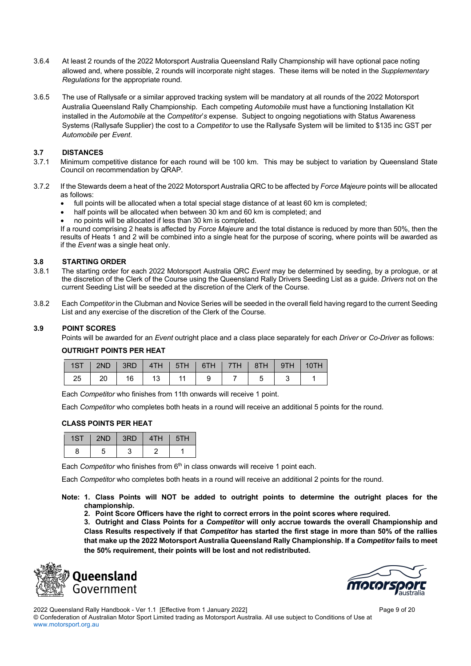- 3.6.4 At least 2 rounds of the 2022 Motorsport Australia Queensland Rally Championship will have optional pace noting allowed and, where possible, 2 rounds will incorporate night stages. These items will be noted in the *Supplementary Regulations* for the appropriate round.
- 3.6.5 The use of Rallysafe or a similar approved tracking system will be mandatory at all rounds of the 2022 Motorsport Australia Queensland Rally Championship. Each competing *Automobile* must have a functioning Installation Kit installed in the *Automobile* at the *Competitor*'*s* expense. Subject to ongoing negotiations with Status Awareness Systems (Rallysafe Supplier) the cost to a *Competitor* to use the Rallysafe System will be limited to \$135 inc GST per *Automobile* per *Event*.

#### **3.7 DISTANCES**

- 3.7.1 Minimum competitive distance for each round will be 100 km. This may be subject to variation by Queensland State Council on recommendation by QRAP.
- 3.7.2 If the Stewards deem a heat of the 2022 Motorsport Australia QRC to be affected by *Force Majeure* points will be allocated as follows:
	- full points will be allocated when a total special stage distance of at least 60 km is completed;
	- half points will be allocated when between 30 km and 60 km is completed; and
	- no points will be allocated if less than 30 km is completed.

If a round comprising 2 heats is affected by *Force Majeure* and the total distance is reduced by more than 50%, then the results of Heats 1 and 2 will be combined into a single heat for the purpose of scoring, where points will be awarded as if the *Event* was a single heat only.

#### **3.8 STARTING ORDER**

- 3.8.1 The starting order for each 2022 Motorsport Australia QRC *Event* may be determined by seeding, by a prologue, or at the discretion of the Clerk of the Course using the Queensland Rally Drivers Seeding List as a guide. *Drivers* not on the current Seeding List will be seeded at the discretion of the Clerk of the Course.
- 3.8.2 Each *Competitor* in the Clubman and Novice Series will be seeded in the overall field having regard to the current Seeding List and any exercise of the discretion of the Clerk of the Course.

#### **3.9 POINT SCORES**

Points will be awarded for an *Event* outright place and a class place separately for each *Driver* or *Co-Driver* as follows:

#### **OUTRIGHT POINTS PER HEAT**

| 1ST   2ND   3RD   4TH   5TH   6TH   7TH   8TH   9TH   10TH |  |  |  |  |  |
|------------------------------------------------------------|--|--|--|--|--|
|                                                            |  |  |  |  |  |

Each *Competitor* who finishes from 11th onwards will receive 1 point.

Each *Competitor* who completes both heats in a round will receive an additional 5 points for the round.

#### **CLASS POINTS PER HEAT**

| 1ST | 2ND | 3RD | 4TH | 5TH |
|-----|-----|-----|-----|-----|
|     | 5   |     |     |     |

Each *Competitor* who finishes from 6<sup>th</sup> in class onwards will receive 1 point each.

Each *Competitor* who completes both heats in a round will receive an additional 2 points for the round.

- **Note: 1. Class Points will NOT be added to outright points to determine the outright places for the championship.**
	- **2. Point Score Officers have the right to correct errors in the point scores where required.**

**3. Outright and Class Points for a** *Competitor* **will only accrue towards the overall Championship and Class Results respectively if that** *Competitor* **has started the first stage in more than 50% of the rallies that make up the 2022 Motorsport Australia Queensland Rally Championship. If a** *Competitor* **fails to meet the 50% requirement, their points will be lost and not redistributed.**





2022 Queensland Rally Handbook - Ver 1.1 [Effective from 1 January 2022] Page 9 of 20 © Confederation of Australian Motor Sport Limited trading as Motorsport Australia. All use subject to Conditions of Use at www.motorsport.org.au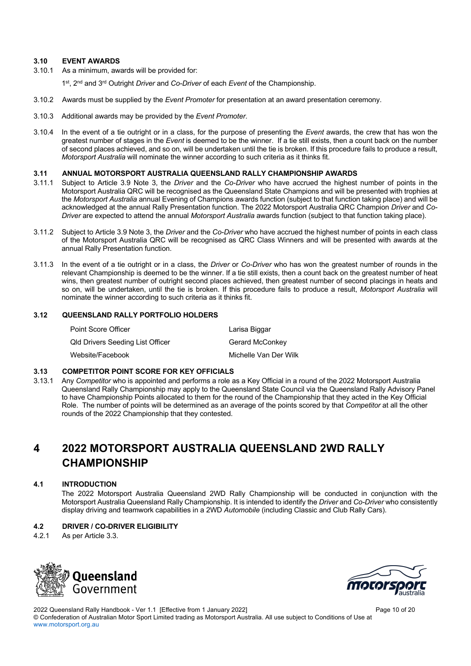#### **3.10 EVENT AWARDS**

3.10.1 As a minimum, awards will be provided for:

1st, 2nd and 3rd Outright *Driver* and *Co-Driver* of each *Event* of the Championship.

- 3.10.2 Awards must be supplied by the *Event Promoter* for presentation at an award presentation ceremony.
- 3.10.3 Additional awards may be provided by the *Event Promoter*.
- 3.10.4 In the event of a tie outright or in a class, for the purpose of presenting the *Event* awards, the crew that has won the greatest number of stages in the *Event* is deemed to be the winner. If a tie still exists, then a count back on the number of second places achieved, and so on, will be undertaken until the tie is broken. If this procedure fails to produce a result, *Motorsport Australia* will nominate the winner according to such criteria as it thinks fit.

#### **3.11 ANNUAL MOTORSPORT AUSTRALIA QUEENSLAND RALLY CHAMPIONSHIP AWARDS**

- 3.11.1 Subject to Article 3.9 Note 3, the *Driver* and the *Co-Driver* who have accrued the highest number of points in the Motorsport Australia QRC will be recognised as the Queensland State Champions and will be presented with trophies at the *Motorsport Australia* annual Evening of Champions awards function (subject to that function taking place) and will be acknowledged at the annual Rally Presentation function. The 2022 Motorsport Australia QRC Champion *Driver* and *Co-Driver* are expected to attend the annual *Motorsport Australia* awards function (subject to that function taking place).
- 3.11.2 Subject to Article 3.9 Note 3, the *Driver* and the *Co-Driver* who have accrued the highest number of points in each class of the Motorsport Australia QRC will be recognised as QRC Class Winners and will be presented with awards at the annual Rally Presentation function.
- 3.11.3 In the event of a tie outright or in a class, the *Driver* or *Co-Driver* who has won the greatest number of rounds in the relevant Championship is deemed to be the winner. If a tie still exists, then a count back on the greatest number of heat wins, then greatest number of outright second places achieved, then greatest number of second placings in heats and so on, will be undertaken, until the tie is broken. If this procedure fails to produce a result, *Motorsport Australia* will nominate the winner according to such criteria as it thinks fit.

#### **3.12 QUEENSLAND RALLY PORTFOLIO HOLDERS**

| Point Score Officer              | Larisa Biggar         |
|----------------------------------|-----------------------|
| Qld Drivers Seeding List Officer | Gerard McConkey       |
| Website/Facebook                 | Michelle Van Der Wilk |

#### **3.13 COMPETITOR POINT SCORE FOR KEY OFFICIALS**

3.13.1 Any *Competitor* who is appointed and performs a role as a Key Official in a round of the 2022 Motorsport Australia Queensland Rally Championship may apply to the Queensland State Council via the Queensland Rally Advisory Panel to have Championship Points allocated to them for the round of the Championship that they acted in the Key Official Role. The number of points will be determined as an average of the points scored by that *Competitor* at all the other rounds of the 2022 Championship that they contested.

### **4 2022 MOTORSPORT AUSTRALIA QUEENSLAND 2WD RALLY CHAMPIONSHIP**

#### **4.1 INTRODUCTION**

The 2022 Motorsport Australia Queensland 2WD Rally Championship will be conducted in conjunction with the Motorsport Australia Queensland Rally Championship. It is intended to identify the *Driver* and *Co-Driver* who consistently display driving and teamwork capabilities in a 2WD *Automobile* (including Classic and Club Rally Cars).

#### **4.2 DRIVER / CO-DRIVER ELIGIBILITY**

4.2.1 As per Article 3.3.





2022 Queensland Rally Handbook - Ver 1.1 [Effective from 1 January 2022] Page 10 of 20 © Confederation of Australian Motor Sport Limited trading as Motorsport Australia. All use subject to Conditions of Use at www.motorsport.org.au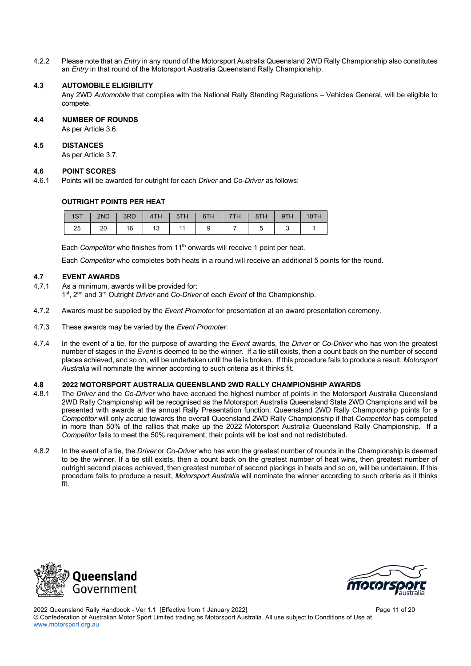4.2.2 Please note that an *Entry* in any round of the Motorsport Australia Queensland 2WD Rally Championship also constitutes an *Entry* in that round of the Motorsport Australia Queensland Rally Championship.

#### **4.3 AUTOMOBILE ELIGIBILITY**

Any 2WD *Automobile* that complies with the National Rally Standing Regulations – Vehicles General, will be eligible to compete.

#### **4.4 NUMBER OF ROUNDS**

As per Article 3.6.

#### **4.5 DISTANCES**

As per Article 3.7.

#### **4.6 POINT SCORES**

4.6.1 Points will be awarded for outright for each *Driver* and *Co-Driver* as follows:

#### **OUTRIGHT POINTS PER HEAT**

|  |                        |  |  |  | 1ST   2ND   3RD   4TH   5TH   6TH   7TH   8TH   9TH   10TH |
|--|------------------------|--|--|--|------------------------------------------------------------|
|  | 25 20 16 13 11 9 7 5 3 |  |  |  |                                                            |

Each *Competitor* who finishes from 11<sup>th</sup> onwards will receive 1 point per heat.

Each *Competitor* who completes both heats in a round will receive an additional 5 points for the round.

#### **4.7 EVENT AWARDS**

- 4.7.1 As a minimum, awards will be provided for:
	- 1st, 2nd and 3rd Outright *Driver* and *Co-Driver* of each *Event* of the Championship.
- 4.7.2 Awards must be supplied by the *Event Promoter* for presentation at an award presentation ceremony.
- 4.7.3 These awards may be varied by the *Event Promoter*.
- 4.7.4 In the event of a tie, for the purpose of awarding the *Event* awards, the *Driver* or *Co-Driver* who has won the greatest number of stages in the *Event* is deemed to be the winner. If a tie still exists, then a count back on the number of second places achieved, and so on, will be undertaken until the tie is broken. If this procedure fails to produce a result, *Motorsport Australia* will nominate the winner according to such criteria as it thinks fit.

#### **4.8 2022 MOTORSPORT AUSTRALIA QUEENSLAND 2WD RALLY CHAMPIONSHIP AWARDS**

- 4.8.1 The *Driver* and the *Co-Driver* who have accrued the highest number of points in the Motorsport Australia Queensland 2WD Rally Championship will be recognised as the Motorsport Australia Queensland State 2WD Champions and will be presented with awards at the annual Rally Presentation function. Queensland 2WD Rally Championship points for a *Competitor* will only accrue towards the overall Queensland 2WD Rally Championship if that *Competitor* has competed in more than 50% of the rallies that make up the 2022 Motorsport Australia Queensland Rally Championship. If a *Competitor* fails to meet the 50% requirement, their points will be lost and not redistributed.
- 4.8.2 In the event of a tie, the *Driver* or *Co-Driver* who has won the greatest number of rounds in the Championship is deemed to be the winner. If a tie still exists, then a count back on the greatest number of heat wins, then greatest number of outright second places achieved, then greatest number of second placings in heats and so on, will be undertaken. If this procedure fails to produce a result, *Motorsport Australia* will nominate the winner according to such criteria as it thinks fit.





2022 Queensland Rally Handbook - Ver 1.1 [Effective from 1 January 2022] Page 11 of 20 © Confederation of Australian Motor Sport Limited trading as Motorsport Australia. All use subject to Conditions of Use at www.motorsport.org.au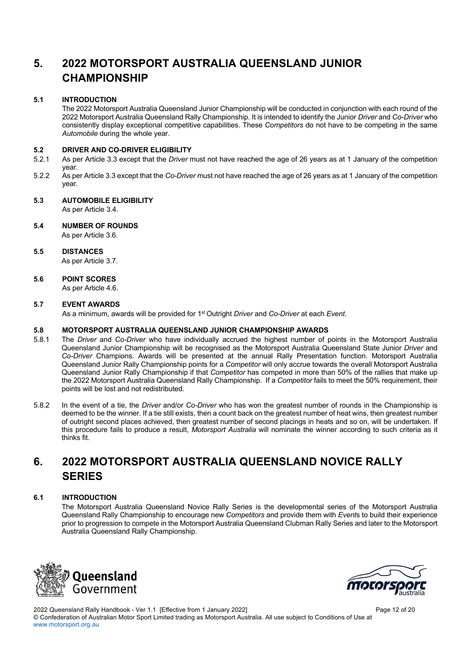# **5. 2022 MOTORSPORT AUSTRALIA QUEENSLAND JUNIOR CHAMPIONSHIP**

#### **5.1 INTRODUCTION**

The 2022 Motorsport Australia Queensland Junior Championship will be conducted in conjunction with each round of the 2022 Motorsport Australia Queensland Rally Championship. It is intended to identify the Junior *Driver* and *Co-Driver* who consistently display exceptional competitive capabilities. These *Competitors* do not have to be competing in the same *Automobile* during the whole year.

#### **5.2 DRIVER AND CO-DRIVER ELIGIBILITY**

- 5.2.1 As per Article 3.3 except that the *Driver* must not have reached the age of 26 years as at 1 January of the competition year.
- 5.2.2 As per Article 3.3 except that the *Co-Driver* must not have reached the age of 26 years as at 1 January of the competition year.

#### **5.3 AUTOMOBILE ELIGIBILITY**

As per Article 3.4.

#### **5.4 NUMBER OF ROUNDS**

As per Article 3.6.

#### **5.5 DISTANCES**

As per Article 3.7.

### **5.6 POINT SCORES**

As per Article 4.6.

#### **5.7 EVENT AWARDS**

As a minimum, awards will be provided for 1st Outright *Driver* and *Co-Driver* at each *Event*.

#### **5.8 MOTORSPORT AUSTRALIA QUEENSLAND JUNIOR CHAMPIONSHIP AWARDS**

- 5.8.1 The *Driver* and *Co-Driver* who have individually accrued the highest number of points in the Motorsport Australia Queensland Junior Championship will be recognised as the Motorsport Australia Queensland State Junior *Driver* and *Co-Driver* Champions. Awards will be presented at the annual Rally Presentation function. Motorsport Australia Queensland Junior Rally Championship points for a *Competitor* will only accrue towards the overall Motorsport Australia Queensland Junior Rally Championship if that *Competitor* has competed in more than 50% of the rallies that make up the 2022 Motorsport Australia Queensland Rally Championship. If a *Competitor* fails to meet the 50% requirement, their points will be lost and not redistributed.
- 5.8.2 In the event of a tie, the *Driver* and/or *Co-Driver* who has won the greatest number of rounds in the Championship is deemed to be the winner. If a tie still exists, then a count back on the greatest number of heat wins, then greatest number of outright second places achieved, then greatest number of second placings in heats and so on, will be undertaken. If this procedure fails to produce a result, *Motorsport Australia* will nominate the winner according to such criteria as it thinks fit.

### **6. 2022 MOTORSPORT AUSTRALIA QUEENSLAND NOVICE RALLY SERIES**

#### **6.1 INTRODUCTION**

The Motorsport Australia Queensland Novice Rally Series is the developmental series of the Motorsport Australia Queensland Rally Championship to encourage new *Competitors* and provide them with *Event*s to build their experience prior to progression to compete in the Motorsport Australia Queensland Clubman Rally Series and later to the Motorsport Australia Queensland Rally Championship.





2022 Queensland Rally Handbook - Ver 1.1 [Effective from 1 January 2022] Page 12 page 12 of 20 © Confederation of Australian Motor Sport Limited trading as Motorsport Australia. All use subject to Conditions of Use at www.motorsport.org.au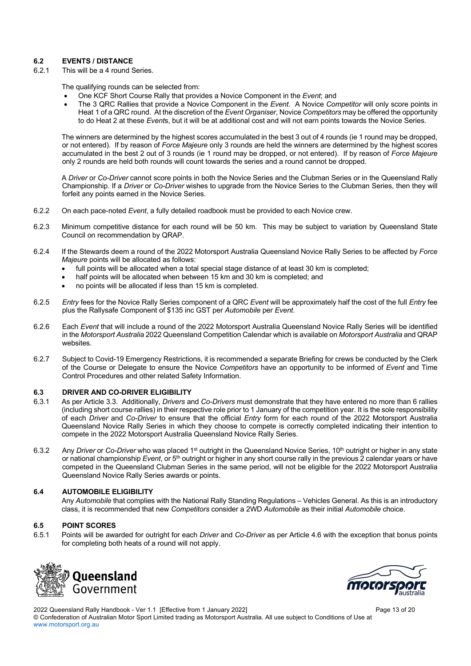#### **6.2 EVENTS / DISTANCE**

6.2.1 This will be a 4 round Series.

The qualifying rounds can be selected from:

- One KCF Short Course Rally that provides a Novice Component in the *Event*; and
- The 3 QRC Rallies that provide a Novice Component in the *Event*. A Novice *Competitor* will only score points in Heat 1 of a QRC round. At the discretion of the *Event Organiser*, Novice *Competitors* may be offered the opportunity to do Heat 2 at these *Event*s, but it will be at additional cost and will not earn points towards the Novice Series.

The winners are determined by the highest scores accumulated in the best 3 out of 4 rounds (ie 1 round may be dropped, or not entered). If by reason of *Force Majeure* only 3 rounds are held the winners are determined by the highest scores accumulated in the best 2 out of 3 rounds (ie 1 round may be dropped, or not entered). If by reason of *Force Majeure* only 2 rounds are held both rounds will count towards the series and a round cannot be dropped.

A *Driver* or *Co-Driver* cannot score points in both the Novice Series and the Clubman Series or in the Queensland Rally Championship. If a *Driver* or *Co-Driver* wishes to upgrade from the Novice Series to the Clubman Series, then they will forfeit any points earned in the Novice Series.

- 6.2.2 On each pace-noted *Event*, a fully detailed roadbook must be provided to each Novice crew.
- 6.2.3 Minimum competitive distance for each round will be 50 km. This may be subject to variation by Queensland State Council on recommendation by QRAP.
- 6.2.4 If the Stewards deem a round of the 2022 Motorsport Australia Queensland Novice Rally Series to be affected by *Force Majeure* points will be allocated as follows:
	- full points will be allocated when a total special stage distance of at least 30 km is completed;
	- half points will be allocated when between 15 km and 30 km is completed; and
		- no points will be allocated if less than 15 km is completed.
- 6.2.5 *Entry* fees for the Novice Rally Series component of a QRC *Event* will be approximately half the cost of the full *Entry* fee plus the Rallysafe Component of \$135 inc GST per *Automobile* per *Event*.
- 6.2.6 Each *Event* that will include a round of the 2022 Motorsport Australia Queensland Novice Rally Series will be identified in the *Motorsport Australia* 2022 Queensland Competition Calendar which is available on *Motorsport Australia* and QRAP websites.
- 6.2.7 Subject to Covid-19 Emergency Restrictions, it is recommended a separate Briefing for crews be conducted by the Clerk of the Course or Delegate to ensure the Novice *Competitors* have an opportunity to be informed of *Event* and Time Control Procedures and other related Safety Information.

#### **6.3 DRIVER AND CO-DRIVER ELIGIBILITY**

- 6.3.1 As per Article 3.3. Additionally, *Drivers* and *Co-Drivers* must demonstrate that they have entered no more than 6 rallies (including short course rallies) in their respective role prior to 1 January of the competition year. It is the sole responsibility of each *Driver* and *Co-Driver* to ensure that the official *Entry* form for each round of the 2022 Motorsport Australia Queensland Novice Rally Series in which they choose to compete is correctly completed indicating their intention to compete in the 2022 Motorsport Australia Queensland Novice Rally Series.
- 6.3.2 Any *Driver* or *Co-Driver* who was placed 1st outright in the Queensland Novice Series, 10th outright or higher in any state or national championship *Event*, or 5<sup>th</sup> outright or higher in any short course rally in the previous 2 calendar years or have competed in the Queensland Clubman Series in the same period, will not be eligible for the 2022 Motorsport Australia Queensland Novice Rally Series awards or points.

#### **6.4 AUTOMOBILE ELIGIBILITY**

Any *Automobile* that complies with the National Rally Standing Regulations – Vehicles General. As this is an introductory class, it is recommended that new *Competitors* consider a 2WD *Automobile* as their initial *Automobile* choice.

#### **6.5 POINT SCORES**

6.5.1 Points will be awarded for outright for each *Driver* and *Co-Driver* as per Article 4.6 with the exception that bonus points for completing both heats of a round will not apply.





2022 Queensland Rally Handbook - Ver 1.1 [Effective from 1 January 2022] Page 13 of 20

© Confederation of Australian Motor Sport Limited trading as Motorsport Australia. All use subject to Conditions of Use at www.motorsport.org.au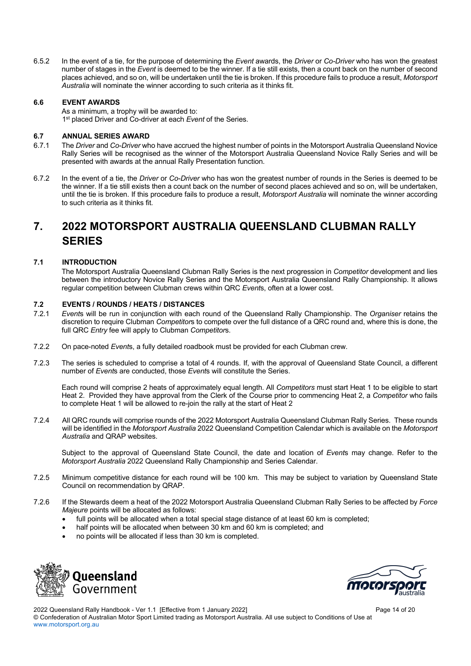6.5.2 In the event of a tie, for the purpose of determining the *Event* awards, the *Driver* or *Co-Driver* who has won the greatest number of stages in the *Event* is deemed to be the winner. If a tie still exists, then a count back on the number of second places achieved, and so on, will be undertaken until the tie is broken. If this procedure fails to produce a result, *Motorsport Australia* will nominate the winner according to such criteria as it thinks fit.

#### **6.6 EVENT AWARDS**

As a minimum, a trophy will be awarded to: 1<sup>st</sup> placed Driver and Co-driver at each *Event* of the Series.

#### **6.7 ANNUAL SERIES AWARD**

- 6.7.1 The *Driver* and *Co-Driver* who have accrued the highest number of points in the Motorsport Australia Queensland Novice Rally Series will be recognised as the winner of the Motorsport Australia Queensland Novice Rally Series and will be presented with awards at the annual Rally Presentation function.
- 6.7.2 In the event of a tie, the *Driver* or *Co-Driver* who has won the greatest number of rounds in the Series is deemed to be the winner. If a tie still exists then a count back on the number of second places achieved and so on, will be undertaken, until the tie is broken. If this procedure fails to produce a result, *Motorsport Australia* will nominate the winner according to such criteria as it thinks fit.

### **7. 2022 MOTORSPORT AUSTRALIA QUEENSLAND CLUBMAN RALLY SERIES**

#### **7.1 INTRODUCTION**

The Motorsport Australia Queensland Clubman Rally Series is the next progression in *Competitor* development and lies between the introductory Novice Rally Series and the Motorsport Australia Queensland Rally Championship. It allows regular competition between Clubman crews within QRC *Event*s, often at a lower cost.

#### **7.2 EVENTS / ROUNDS / HEATS / DISTANCES**

- 7.2.1 *Event*s will be run in conjunction with each round of the Queensland Rally Championship. The *Organiser* retains the discretion to require Clubman *Competitor*s to compete over the full distance of a QRC round and, where this is done, the full QRC *Entry* fee will apply to Clubman *Competitor*s.
- 7.2.2 On pace-noted *Event*s, a fully detailed roadbook must be provided for each Clubman crew.
- 7.2.3 The series is scheduled to comprise a total of 4 rounds. If, with the approval of Queensland State Council, a different number of *Event*s are conducted, those *Event*s will constitute the Series.

Each round will comprise 2 heats of approximately equal length. All *Competitors* must start Heat 1 to be eligible to start Heat 2. Provided they have approval from the Clerk of the Course prior to commencing Heat 2, a *Competitor* who fails to complete Heat 1 will be allowed to re-join the rally at the start of Heat 2

7.2.4 All QRC rounds will comprise rounds of the 2022 Motorsport Australia Queensland Clubman Rally Series. These rounds will be identified in the *Motorsport Australia* 2022 Queensland Competition Calendar which is available on the *Motorsport Australia* and QRAP websites.

Subject to the approval of Queensland State Council, the date and location of *Event*s may change. Refer to the *Motorsport Australia* 2022 Queensland Rally Championship and Series Calendar.

- 7.2.5 Minimum competitive distance for each round will be 100 km. This may be subject to variation by Queensland State Council on recommendation by QRAP.
- 7.2.6 If the Stewards deem a heat of the 2022 Motorsport Australia Queensland Clubman Rally Series to be affected by *Force Majeure* points will be allocated as follows:
	- full points will be allocated when a total special stage distance of at least 60 km is completed;
	- half points will be allocated when between 30 km and 60 km is completed; and
	- no points will be allocated if less than 30 km is completed.





2022 Queensland Rally Handbook - Ver 1.1 [Effective from 1 January 2022] Page 14 of 20

© Confederation of Australian Motor Sport Limited trading as Motorsport Australia. All use subject to Conditions of Use at www.motorsport.org.au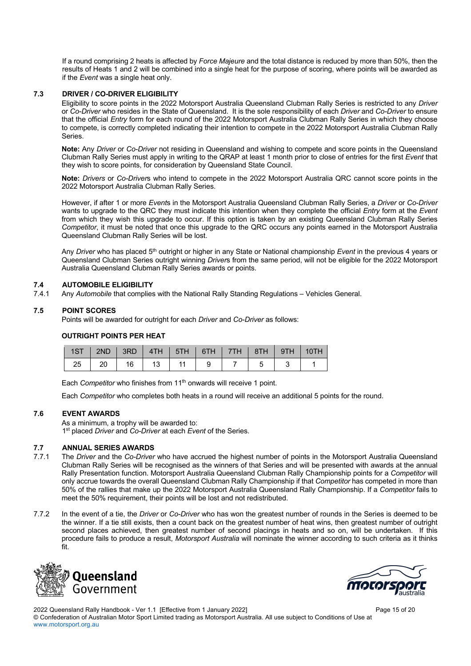If a round comprising 2 heats is affected by *Force Majeure* and the total distance is reduced by more than 50%, then the results of Heats 1 and 2 will be combined into a single heat for the purpose of scoring, where points will be awarded as if the *Event* was a single heat only.

#### **7.3 DRIVER / CO-DRIVER ELIGIBILITY**

Eligibility to score points in the 2022 Motorsport Australia Queensland Clubman Rally Series is restricted to any *Driver* or *Co-Driver* who resides in the State of Queensland. It is the sole responsibility of each *Driver* and *Co-Driver* to ensure that the official *Entry* form for each round of the 2022 Motorsport Australia Clubman Rally Series in which they choose to compete, is correctly completed indicating their intention to compete in the 2022 Motorsport Australia Clubman Rally Series.

**Note:** Any *Driver* or *Co-Driver* not residing in Queensland and wishing to compete and score points in the Queensland Clubman Rally Series must apply in writing to the QRAP at least 1 month prior to close of entries for the first *Event* that they wish to score points, for consideration by Queensland State Council.

**Note:** *Drivers* or *Co-Driver*s who intend to compete in the 2022 Motorsport Australia QRC cannot score points in the 2022 Motorsport Australia Clubman Rally Series.

However, if after 1 or more *Event*s in the Motorsport Australia Queensland Clubman Rally Series, a *Driver* or *Co-Driver* wants to upgrade to the QRC they must indicate this intention when they complete the official *Entry* form at the *Event* from which they wish this upgrade to occur. If this option is taken by an existing Queensland Clubman Rally Series *Competitor*, it must be noted that once this upgrade to the QRC occurs any points earned in the Motorsport Australia Queensland Clubman Rally Series will be lost.

Any *Driver* who has placed 5th outright or higher in any State or National championship *Event* in the previous 4 years or Queensland Clubman Series outright winning *Driver*s from the same period, will not be eligible for the 2022 Motorsport Australia Queensland Clubman Rally Series awards or points.

#### **7.4 AUTOMOBILE ELIGIBILITY**

7.4.1 Any *Automobile* that complies with the National Rally Standing Regulations – Vehicles General.

#### **7.5 POINT SCORES**

Points will be awarded for outright for each *Driver* and *Co-Driver* as follows:

#### **OUTRIGHT POINTS PER HEAT**

| 1ST   2ND   3RD   4TH   5TH   6TH   7TH   8TH   9TH   10TH |                                        |  |  |  |  |
|------------------------------------------------------------|----------------------------------------|--|--|--|--|
|                                                            | 25   20   16   13   11   9   7   5   3 |  |  |  |  |

Each *Competitor* who finishes from 11<sup>th</sup> onwards will receive 1 point.

Each *Competitor* who completes both heats in a round will receive an additional 5 points for the round.

#### **7.6 EVENT AWARDS**

As a minimum, a trophy will be awarded to: 1st placed *Driver* and *Co-Driver* at each *Event* of the Series.

#### **7.7 ANNUAL SERIES AWARDS**

- 7.7.1 The *Driver* and the *Co-Driver* who have accrued the highest number of points in the Motorsport Australia Queensland Clubman Rally Series will be recognised as the winners of that Series and will be presented with awards at the annual Rally Presentation function. Motorsport Australia Queensland Clubman Rally Championship points for a *Competitor* will only accrue towards the overall Queensland Clubman Rally Championship if that *Competitor* has competed in more than 50% of the rallies that make up the 2022 Motorsport Australia Queensland Rally Championship. If a *Competitor* fails to meet the 50% requirement, their points will be lost and not redistributed.
- 7.7.2 In the event of a tie, the *Driver* or *Co-Driver* who has won the greatest number of rounds in the Series is deemed to be the winner. If a tie still exists, then a count back on the greatest number of heat wins, then greatest number of outright second places achieved, then greatest number of second placings in heats and so on, will be undertaken. If this procedure fails to produce a result, *Motorsport Australia* will nominate the winner according to such criteria as it thinks fit.





2022 Queensland Rally Handbook - Ver 1.1 [Effective from 1 January 2022] Page 15 of 20 © Confederation of Australian Motor Sport Limited trading as Motorsport Australia. All use subject to Conditions of Use at www.motorsport.org.au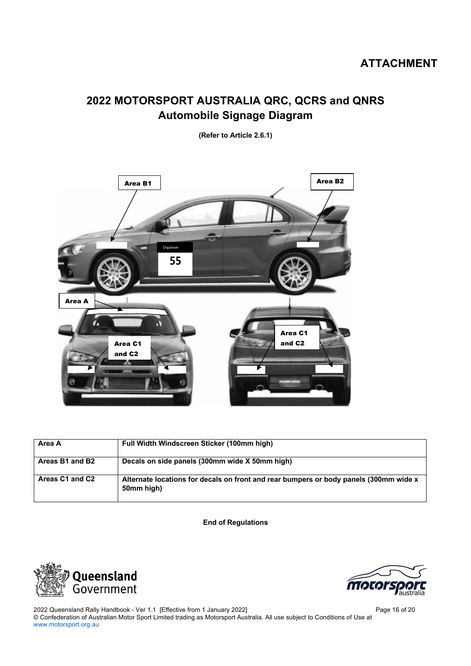# **2022 MOTORSPORT AUSTRALIA QRC, QCRS and QNRS Automobile Signage Diagram**

**(Refer to Article 2.6.1)**



| Area A          | Full Width Windscreen Sticker (100mm high)                                                          |
|-----------------|-----------------------------------------------------------------------------------------------------|
| Areas B1 and B2 | Decals on side panels (300mm wide X 50mm high)                                                      |
| Areas C1 and C2 | Alternate locations for decals on front and rear bumpers or body panels (300mm wide x<br>50mm high) |

**End of Regulations**





2022 Queensland Rally Handbook - Ver 1.1 [Effective from 1 January 2022] Page 16 of 20 © Confederation of Australian Motor Sport Limited trading as Motorsport Australia. All use subject to Conditions of Use at www.motorsport.org.au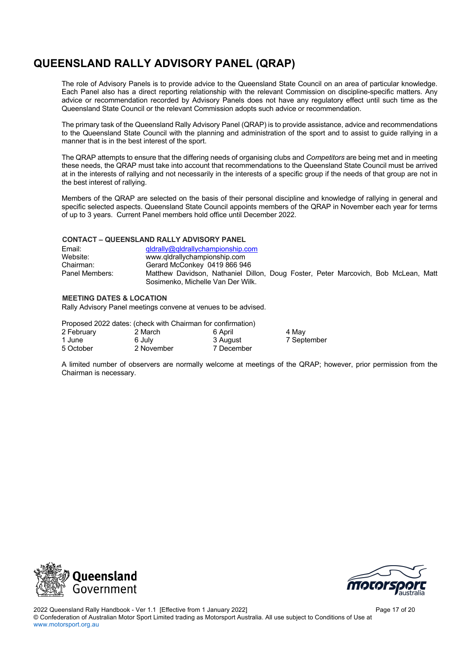# **QUEENSLAND RALLY ADVISORY PANEL (QRAP)**

The role of Advisory Panels is to provide advice to the Queensland State Council on an area of particular knowledge. Each Panel also has a direct reporting relationship with the relevant Commission on discipline-specific matters. Any advice or recommendation recorded by Advisory Panels does not have any regulatory effect until such time as the Queensland State Council or the relevant Commission adopts such advice or recommendation.

The primary task of the Queensland Rally Advisory Panel (QRAP) is to provide assistance, advice and recommendations to the Queensland State Council with the planning and administration of the sport and to assist to guide rallying in a manner that is in the best interest of the sport.

The QRAP attempts to ensure that the differing needs of organising clubs and *Competitors* are being met and in meeting these needs, the QRAP must take into account that recommendations to the Queensland State Council must be arrived at in the interests of rallying and not necessarily in the interests of a specific group if the needs of that group are not in the best interest of rallying.

Members of the QRAP are selected on the basis of their personal discipline and knowledge of rallying in general and specific selected aspects. Queensland State Council appoints members of the QRAP in November each year for terms of up to 3 years. Current Panel members hold office until December 2022.

#### **CONTACT – QUEENSLAND RALLY ADVISORY PANEL**

| Email:         | gldrally@gldrallychampionship.com                                                                                       |  |  |  |  |  |  |
|----------------|-------------------------------------------------------------------------------------------------------------------------|--|--|--|--|--|--|
| Website:       | www.gldrallychampionship.com                                                                                            |  |  |  |  |  |  |
| Chairman:      | Gerard McConkey 0419 866 946                                                                                            |  |  |  |  |  |  |
| Panel Members: | Matthew Davidson, Nathaniel Dillon, Doug Foster, Peter Marcovich, Bob McLean, Matt<br>Sosimenko, Michelle Van Der Wilk. |  |  |  |  |  |  |

#### **MEETING DATES & LOCATION**

Rally Advisory Panel meetings convene at venues to be advised.

Proposed 2022 dates: (check with Chairman for confirmation)

| 2 February | 2 March    | 6 April    | 4 May       |
|------------|------------|------------|-------------|
| 1 June     | 6 July     | 3 August   | 7 September |
| 5 October  | 2 November | 7 December |             |

A limited number of observers are normally welcome at meetings of the QRAP; however, prior permission from the Chairman is necessary.





2022 Queensland Rally Handbook - Ver 1.1 [Effective from 1 January 2022] Page 17 of 20 © Confederation of Australian Motor Sport Limited trading as Motorsport Australia. All use subject to Conditions of Use at www.motorsport.org.au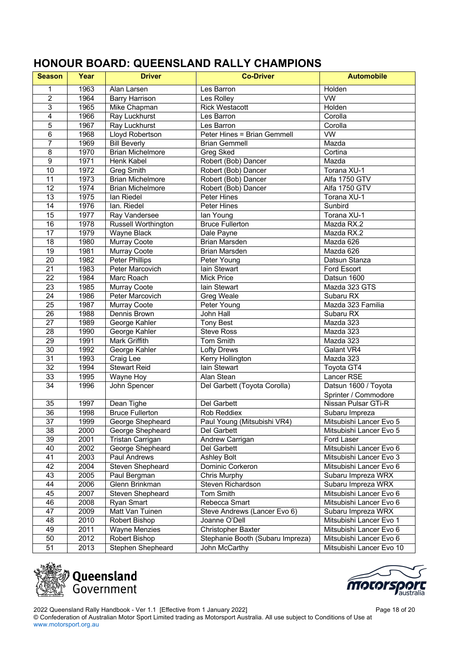# **HONOUR BOARD: QUEENSLAND RALLY CHAMPIONS**

| <b>Season</b>   | Year | <b>Driver</b>            | <b>Co-Driver</b>                 |                          |
|-----------------|------|--------------------------|----------------------------------|--------------------------|
| 1               | 1963 | Alan Larsen              | Les Barron                       | Holden                   |
| $\overline{2}$  | 1964 | <b>Barry Harrison</b>    | Les Rolley                       | <b>VW</b>                |
| $\overline{3}$  | 1965 | Mike Chapman             | <b>Rick Westacott</b>            | Holden                   |
| 4               | 1966 | Ray Luckhurst            | Les Barron                       | Corolla                  |
| 5               | 1967 | Ray Luckhurst            | Les Barron                       | Corolla                  |
| 6               | 1968 | Lloyd Robertson          | Peter Hines = Brian Gemmell      | W                        |
| 7               | 1969 | <b>Bill Beverly</b>      | <b>Brian Gemmell</b>             | Mazda                    |
| 8               | 1970 | <b>Brian Michelmore</b>  | Greg Sked                        | Cortina                  |
| $\overline{9}$  | 1971 | Henk Kabel               | Robert (Bob) Dancer              | Mazda                    |
| 10              | 1972 | <b>Greg Smith</b>        | Robert (Bob) Dancer              | Torana XU-1              |
| 11              | 1973 | <b>Brian Michelmore</b>  | Robert (Bob) Dancer              | Alfa 1750 GTV            |
| 12              | 1974 | <b>Brian Michelmore</b>  | Robert (Bob) Dancer              | Alfa 1750 GTV            |
| 13              | 1975 | lan Riedel               | Peter Hines                      | Torana XU-1              |
| 14              | 1976 | Ian. Riedel              | Peter Hines                      | Sunbird                  |
| $\overline{15}$ | 1977 | Ray Vandersee            | lan Young                        | Torana XU-1              |
| 16              | 1978 | Russell Worthington      | <b>Bruce Fullerton</b>           | Mazda RX.2               |
| $\overline{17}$ | 1979 | <b>Wayne Black</b>       | Dale Payne                       | Mazda RX.2               |
| $\overline{18}$ | 1980 | <b>Murray Coote</b>      | <b>Brian Marsden</b>             | Mazda 626                |
| $\overline{19}$ | 1981 | Murray Coote             | <b>Brian Marsden</b>             | Mazda 626                |
| $\overline{20}$ | 1982 | <b>Peter Phillips</b>    | Peter Young                      | Datsun Stanza            |
| $\overline{21}$ | 1983 | <b>Peter Marcovich</b>   | lain Stewart                     | <b>Ford Escort</b>       |
| $\overline{22}$ | 1984 | Marc Roach               | <b>Mick Price</b>                | Datsun 1600              |
| $\overline{23}$ | 1985 | Murray Coote             | lain Stewart                     | Mazda 323 GTS            |
| $\overline{24}$ | 1986 | <b>Peter Marcovich</b>   | Greg Weale                       | Subaru RX                |
| $\overline{25}$ | 1987 | Murray Coote             | Peter Young                      | Mazda 323 Familia        |
| 26              | 1988 | <b>Dennis Brown</b>      | John Hall                        | Subaru RX                |
| $\overline{27}$ | 1989 | George Kahler            | <b>Tony Best</b>                 | Mazda 323                |
| 28              | 1990 | George Kahler            | <b>Steve Ross</b>                | Mazda 323                |
| $\overline{29}$ | 1991 | Mark Griffith            | Tom Smith                        | Mazda 323                |
| $\overline{30}$ | 1992 | George Kahler            | Lofty Drews                      | Galant VR4               |
| 31              | 1993 | Craig Lee                | Kerry Hollington                 | Mazda 323                |
| $\overline{32}$ | 1994 | <b>Stewart Reid</b>      | lain Stewart                     | Toyota GT4               |
| 33              | 1995 | Wayne Hoy                | Alan Stean                       | Lancer RSE               |
| 34              | 1996 | John Spencer             | Del Garbett (Toyota Corolla)     | Datsun 1600 / Toyota     |
|                 |      |                          |                                  | Sprinter / Commodore     |
| $\overline{35}$ | 1997 | Dean Tighe               | Del Garbett                      | Nissan Pulsar GTi-R      |
| 36              | 1998 | <b>Bruce Fullerton</b>   | Rob Reddiex                      | Subaru Impreza           |
| $\overline{37}$ | 1999 | George Shepheard         | Paul Young (Mitsubishi VR4)      | Mitsubishi Lancer Evo 5  |
| 38              | 2000 | George Shepheard         | Del Garbett                      | Mitsubishi Lancer Evo 5  |
| $\overline{39}$ | 2001 | Tristan Carrigan         | Andrew Carrigan                  | Ford Laser               |
| 40              | 2002 | George Shepheard         | Del Garbett                      | Mitsubishi Lancer Evo 6  |
| $\overline{41}$ | 2003 | Paul Andrews             | Ashley Bolt                      | Mitsubishi Lancer Evo 3  |
| 42              | 2004 | Steven Shepheard         | Dominic Corkeron                 | Mitsubishi Lancer Evo 6  |
| 43              | 2005 | Paul Bergman             | Chris Murphy                     | Subaru Impreza WRX       |
| 44              | 2006 | Glenn Brinkman           | Steven Richardson                | Subaru Impreza WRX       |
| 45              | 2007 | Steven Shepheard         | Tom Smith                        | Mitsubishi Lancer Evo 6  |
| 46              | 2008 | Ryan Smart               | Rebecca Smart                    | Mitsubishi Lancer Evo 6  |
| 47              | 2009 | Matt Van Tuinen          | Steve Andrews (Lancer Evo 6)     | Subaru Impreza WRX       |
| 48              | 2010 | Robert Bishop            | Joanne O'Dell                    | Mitsubishi Lancer Evo 1  |
| 49              | 2011 | <b>Wayne Menzies</b>     | Christopher Baxter               | Mitsubishi Lancer Evo 6  |
| 50              | 2012 | Robert Bishop            | Stephanie Booth (Subaru Impreza) | Mitsubishi Lancer Evo 6  |
| 51              | 2013 | <b>Stephen Shepheard</b> | John McCarthy                    | Mitsubishi Lancer Evo 10 |





2022 Queensland Rally Handbook - Ver 1.1 [Effective from 1 January 2022] Page 18 of 20 © Confederation of Australian Motor Sport Limited trading as Motorsport Australia. All use subject to Conditions of Use at www.motorsport.org.au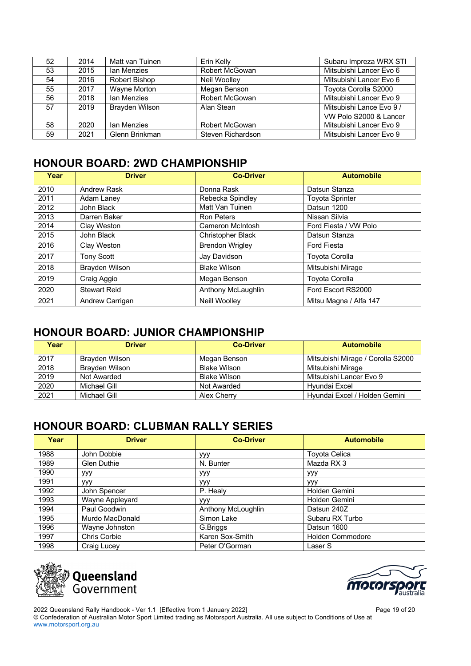| 52 | 2014 | Matt van Tuinen       | Erin Kelly            | Subaru Impreza WRX STI   |
|----|------|-----------------------|-----------------------|--------------------------|
| 53 | 2015 | Ian Menzies           | Robert McGowan        | Mitsubishi Lancer Evo 6  |
| 54 | 2016 | Robert Bishop         | Neil Woolley          | Mitsubishi Lancer Evo 6  |
| 55 | 2017 | Wayne Morton          | Megan Benson          | Toyota Corolla S2000     |
| 56 | 2018 | Ian Menzies           | Robert McGowan        | Mitsubishi Lancer Evo 9  |
| 57 | 2019 | <b>Brayden Wilson</b> | Alan Stean            | Mitsubishi Lance Evo 9 / |
|    |      |                       |                       | VW Polo S2000 & Lancer   |
| 58 | 2020 | Ian Menzies           | <b>Robert McGowan</b> | Mitsubishi Lancer Evo 9  |
| 59 | 2021 | Glenn Brinkman        | Steven Richardson     | Mitsubishi Lancer Evo 9  |

### **HONOUR BOARD: 2WD CHAMPIONSHIP**

| Year | <b>Driver</b>       | <b>Co-Driver</b>       | <b>Automobile</b>      |
|------|---------------------|------------------------|------------------------|
| 2010 | Andrew Rask         | Donna Rask             | Datsun Stanza          |
| 2011 | Adam Laney          | Rebecka Spindley       | <b>Toyota Sprinter</b> |
| 2012 | John Black          | Matt Van Tuinen        | Datsun 1200            |
| 2013 | Darren Baker        | <b>Ron Peters</b>      | Nissan Silvia          |
| 2014 | Clay Weston         | Cameron McIntosh       | Ford Fiesta / VW Polo  |
| 2015 | John Black          | Christopher Black      | Datsun Stanza          |
| 2016 | Clay Weston         | <b>Brendon Wrigley</b> | <b>Ford Fiesta</b>     |
| 2017 | <b>Tony Scott</b>   | Jay Davidson           | <b>Toyota Corolla</b>  |
| 2018 | Brayden Wilson      | <b>Blake Wilson</b>    | Mitsubishi Mirage      |
| 2019 | Craig Aggio         | Megan Benson           | Toyota Corolla         |
| 2020 | <b>Stewart Reid</b> | Anthony McLaughlin     | Ford Escort RS2000     |
| 2021 | Andrew Carrigan     | <b>Neill Woolley</b>   | Mitsu Magna / Alfa 147 |

### **HONOUR BOARD: JUNIOR CHAMPIONSHIP**

| Year | <b>Driver</b>  | <b>Co-Driver</b>    | <b>Automobile</b>                 |
|------|----------------|---------------------|-----------------------------------|
| 2017 | Brayden Wilson | Megan Benson        | Mitsubishi Mirage / Corolla S2000 |
| 2018 | Brayden Wilson | <b>Blake Wilson</b> | Mitsubishi Mirage                 |
| 2019 | Not Awarded    | <b>Blake Wilson</b> | Mitsubishi Lancer Evo 9           |
| 2020 | Michael Gill   | Not Awarded         | Hyundai Excel                     |
| 2021 | Michael Gill   | Alex Cherry         | Hyundai Excel / Holden Gemini     |

# **HONOUR BOARD: CLUBMAN RALLY SERIES**

| Year | <b>Driver</b>      | <b>Co-Driver</b>   | <b>Automobile</b>       |
|------|--------------------|--------------------|-------------------------|
| 1988 | John Dobbie        | <b>YYY</b>         | <b>Toyota Celica</b>    |
| 1989 | <b>Glen Duthie</b> | N. Bunter          | Mazda RX 3              |
| 1990 | ууу                | ууу                | ууу                     |
| 1991 | ууу                | ууу                | <b>yyy</b>              |
| 1992 | John Spencer       | P. Healy           | Holden Gemini           |
| 1993 | Wayne Appleyard    | <b>YYY</b>         | Holden Gemini           |
| 1994 | Paul Goodwin       | Anthony McLoughlin | Datsun 240Z             |
| 1995 | Murdo MacDonald    | Simon Lake         | Subaru RX Turbo         |
| 1996 | Wayne Johnston     | G.Briggs           | Datsun 1600             |
| 1997 | Chris Corbie       | Karen Sox-Smith    | <b>Holden Commodore</b> |
| 1998 | Craig Lucey        | Peter O'Gorman     | Laser S                 |





2022 Queensland Rally Handbook - Ver 1.1 [Effective from 1 January 2022] Page 19 of 20 © Confederation of Australian Motor Sport Limited trading as Motorsport Australia. All use subject to Conditions of Use at www.motorsport.org.au